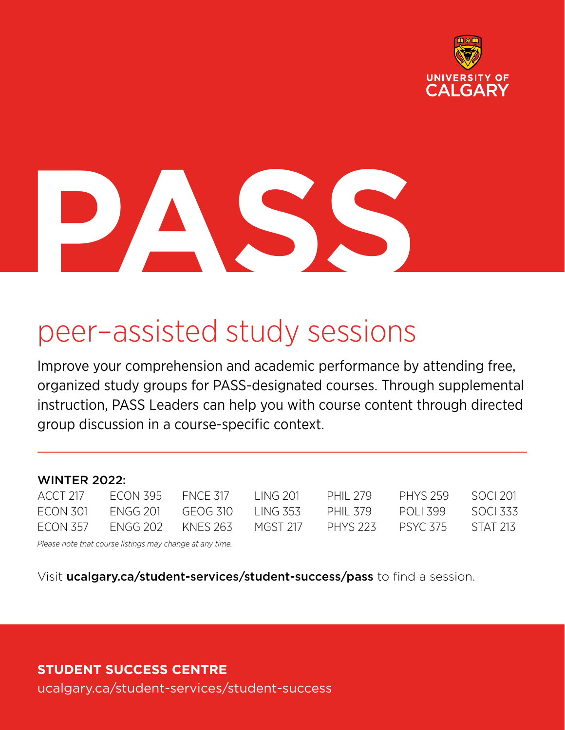

**PASS**

# peer–assisted study sessions

Improve your comprehension and academic performance by attending free, organized study groups for PASS-designated courses. Through supplemental instruction, PASS Leaders can help you with course content through directed group discussion in a course-specific context.

#### WINTER 2022:

| ACCT 217        | ECON 395 | FNCF 317 | TING 201 | PHIL 279 | PHYS 259 | - SOCL 201 |
|-----------------|----------|----------|----------|----------|----------|------------|
| FCON 301        | FNGG 201 | GFOG 310 | TING 353 | PHIL 379 | POLL399  | - SOCI 333 |
| <b>ECON 357</b> | FNGG 202 | KNFS 263 | MGST 217 | PHYS 223 | PSYC 375 | - STAT 213 |

*Please note that course listings may change at any time.*

Visit ucalgary.ca/student-services/student-success/pass to find a session.

### **STUDENT SUCCESS CENTRE**

[ucalgary.ca/student-services/student-success](http://ucalgary.ca/student-services/student-success)